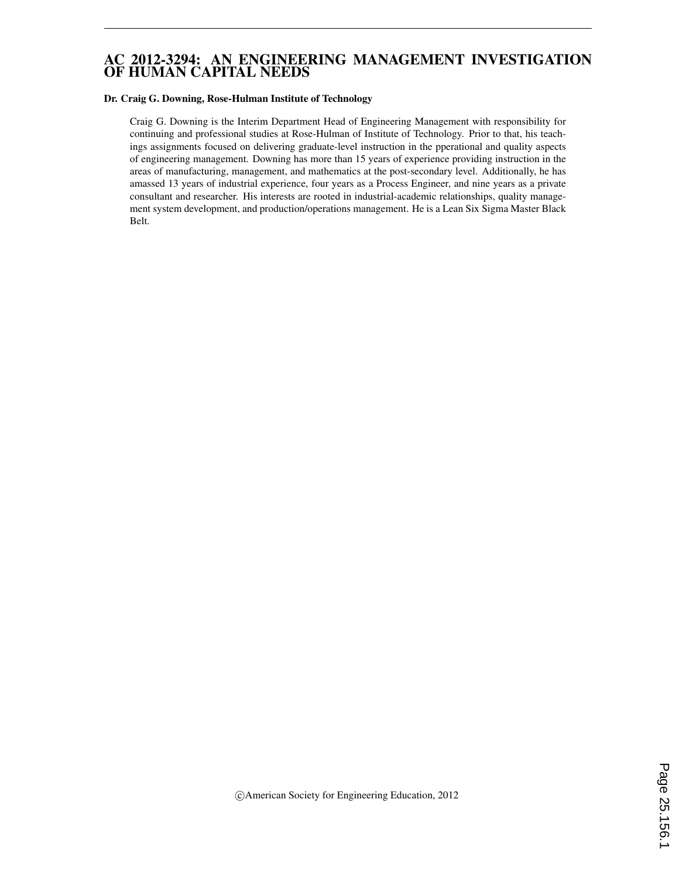### AC 2012-3294: AN ENGINEERING MANAGEMENT INVESTIGATION OF HUMAN CAPITAL NEEDS

#### Dr. Craig G. Downing, Rose-Hulman Institute of Technology

Craig G. Downing is the Interim Department Head of Engineering Management with responsibility for continuing and professional studies at Rose-Hulman of Institute of Technology. Prior to that, his teachings assignments focused on delivering graduate-level instruction in the pperational and quality aspects of engineering management. Downing has more than 15 years of experience providing instruction in the areas of manufacturing, management, and mathematics at the post-secondary level. Additionally, he has amassed 13 years of industrial experience, four years as a Process Engineer, and nine years as a private consultant and researcher. His interests are rooted in industrial-academic relationships, quality management system development, and production/operations management. He is a Lean Six Sigma Master Black Belt.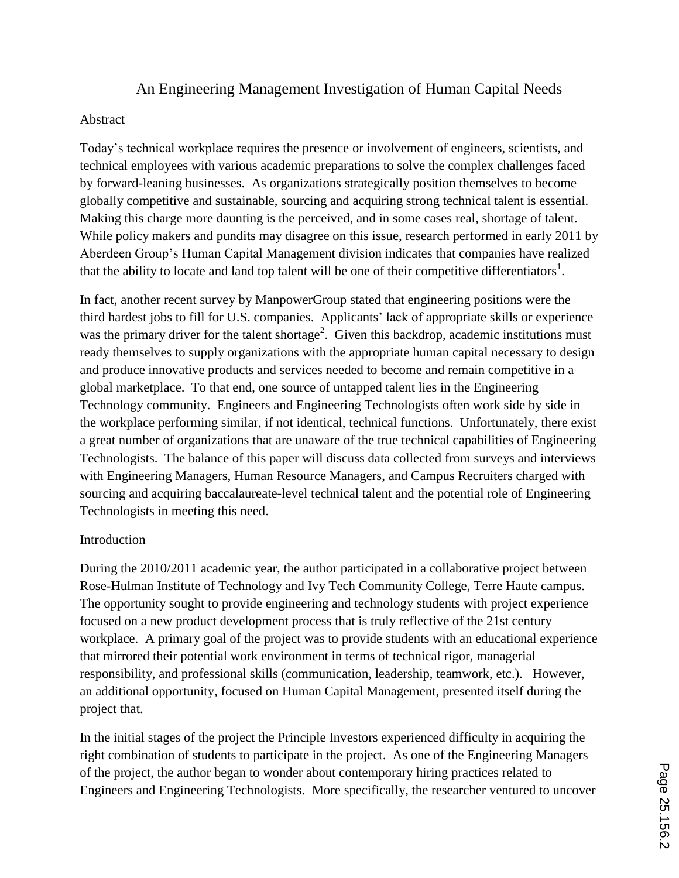# An Engineering Management Investigation of Human Capital Needs

#### Abstract

Today's technical workplace requires the presence or involvement of engineers, scientists, and technical employees with various academic preparations to solve the complex challenges faced by forward-leaning businesses. As organizations strategically position themselves to become globally competitive and sustainable, sourcing and acquiring strong technical talent is essential. Making this charge more daunting is the perceived, and in some cases real, shortage of talent. While policy makers and pundits may disagree on this issue, research performed in early 2011 by Aberdeen Group's Human Capital Management division indicates that companies have realized that the ability to locate and land top talent will be one of their competitive differentiators<sup>1</sup>.

In fact, another recent survey by ManpowerGroup stated that engineering positions were the third hardest jobs to fill for U.S. companies. Applicants' lack of appropriate skills or experience was the primary driver for the talent shortage<sup>2</sup>. Given this backdrop, academic institutions must ready themselves to supply organizations with the appropriate human capital necessary to design and produce innovative products and services needed to become and remain competitive in a global marketplace. To that end, one source of untapped talent lies in the Engineering Technology community. Engineers and Engineering Technologists often work side by side in the workplace performing similar, if not identical, technical functions. Unfortunately, there exist a great number of organizations that are unaware of the true technical capabilities of Engineering Technologists. The balance of this paper will discuss data collected from surveys and interviews with Engineering Managers, Human Resource Managers, and Campus Recruiters charged with sourcing and acquiring baccalaureate-level technical talent and the potential role of Engineering Technologists in meeting this need.

### Introduction

During the 2010/2011 academic year, the author participated in a collaborative project between Rose-Hulman Institute of Technology and Ivy Tech Community College, Terre Haute campus. The opportunity sought to provide engineering and technology students with project experience focused on a new product development process that is truly reflective of the 21st century workplace. A primary goal of the project was to provide students with an educational experience that mirrored their potential work environment in terms of technical rigor, managerial responsibility, and professional skills (communication, leadership, teamwork, etc.). However, an additional opportunity, focused on Human Capital Management, presented itself during the project that.

In the initial stages of the project the Principle Investors experienced difficulty in acquiring the right combination of students to participate in the project. As one of the Engineering Managers of the project, the author began to wonder about contemporary hiring practices related to Engineers and Engineering Technologists. More specifically, the researcher ventured to uncover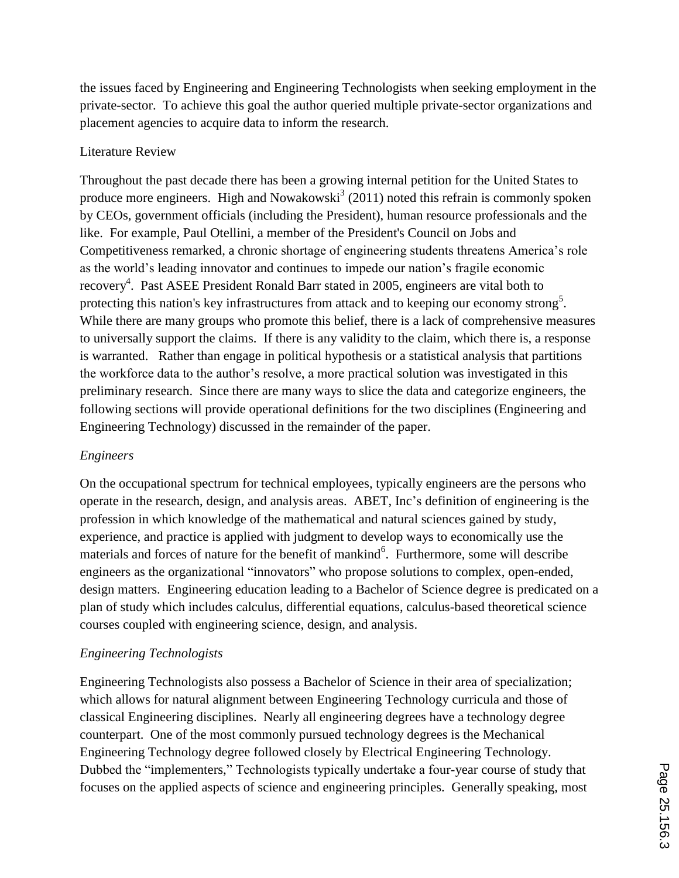the issues faced by Engineering and Engineering Technologists when seeking employment in the private-sector. To achieve this goal the author queried multiple private-sector organizations and placement agencies to acquire data to inform the research.

#### Literature Review

Throughout the past decade there has been a growing internal petition for the United States to produce more engineers. High and Nowakowski<sup>3</sup> (2011) noted this refrain is commonly spoken by CEOs, government officials (including the President), human resource professionals and the like. For example, Paul Otellini, a member of the President's Council on Jobs and Competitiveness remarked, a chronic shortage of engineering students threatens America's role as the world's leading innovator and continues to impede our nation's fragile economic recovery<sup>4</sup>. Past ASEE President Ronald Barr stated in 2005, engineers are vital both to protecting this nation's key infrastructures from attack and to keeping our economy strong<sup>5</sup>. While there are many groups who promote this belief, there is a lack of comprehensive measures to universally support the claims. If there is any validity to the claim, which there is, a response is warranted. Rather than engage in political hypothesis or a statistical analysis that partitions the workforce data to the author's resolve, a more practical solution was investigated in this preliminary research. Since there are many ways to slice the data and categorize engineers, the following sections will provide operational definitions for the two disciplines (Engineering and Engineering Technology) discussed in the remainder of the paper.

### *Engineers*

On the occupational spectrum for technical employees, typically engineers are the persons who operate in the research, design, and analysis areas. ABET, Inc's definition of engineering is the profession in which knowledge of the mathematical and natural sciences gained by study, experience, and practice is applied with judgment to develop ways to economically use the materials and forces of nature for the benefit of mankind<sup>6</sup>. Furthermore, some will describe engineers as the organizational "innovators" who propose solutions to complex, open-ended, design matters. Engineering education leading to a Bachelor of Science degree is predicated on a plan of study which includes calculus, differential equations, calculus-based theoretical science courses coupled with engineering science, design, and analysis.

### *Engineering Technologists*

Engineering Technologists also possess a Bachelor of Science in their area of specialization; which allows for natural alignment between Engineering Technology curricula and those of classical Engineering disciplines. Nearly all engineering degrees have a technology degree counterpart. One of the most commonly pursued technology degrees is the Mechanical Engineering Technology degree followed closely by Electrical Engineering Technology. Dubbed the "implementers," Technologists typically undertake a four-year course of study that focuses on the applied aspects of science and engineering principles. Generally speaking, most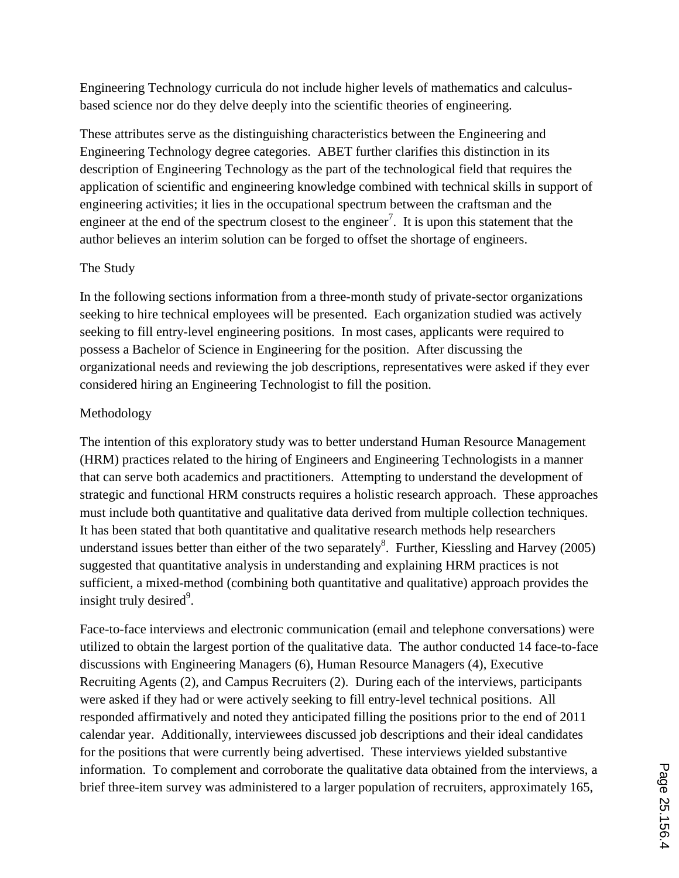Engineering Technology curricula do not include higher levels of mathematics and calculusbased science nor do they delve deeply into the scientific theories of engineering.

These attributes serve as the distinguishing characteristics between the Engineering and Engineering Technology degree categories. ABET further clarifies this distinction in its description of Engineering Technology as the part of the technological field that requires the application of scientific and engineering knowledge combined with technical skills in support of engineering activities; it lies in the occupational spectrum between the craftsman and the engineer at the end of the spectrum closest to the engineer<sup>7</sup>. It is upon this statement that the author believes an interim solution can be forged to offset the shortage of engineers.

## The Study

In the following sections information from a three-month study of private-sector organizations seeking to hire technical employees will be presented. Each organization studied was actively seeking to fill entry-level engineering positions. In most cases, applicants were required to possess a Bachelor of Science in Engineering for the position. After discussing the organizational needs and reviewing the job descriptions, representatives were asked if they ever considered hiring an Engineering Technologist to fill the position.

## Methodology

The intention of this exploratory study was to better understand Human Resource Management (HRM) practices related to the hiring of Engineers and Engineering Technologists in a manner that can serve both academics and practitioners. Attempting to understand the development of strategic and functional HRM constructs requires a holistic research approach. These approaches must include both quantitative and qualitative data derived from multiple collection techniques. It has been stated that both quantitative and qualitative research methods help researchers understand issues better than either of the two separately<sup>8</sup>. Further, Kiessling and Harvey (2005) suggested that quantitative analysis in understanding and explaining HRM practices is not sufficient, a mixed-method (combining both quantitative and qualitative) approach provides the insight truly desired<sup>9</sup>.

Face-to-face interviews and electronic communication (email and telephone conversations) were utilized to obtain the largest portion of the qualitative data. The author conducted 14 face-to-face discussions with Engineering Managers (6), Human Resource Managers (4), Executive Recruiting Agents (2), and Campus Recruiters (2). During each of the interviews, participants were asked if they had or were actively seeking to fill entry-level technical positions. All responded affirmatively and noted they anticipated filling the positions prior to the end of 2011 calendar year. Additionally, interviewees discussed job descriptions and their ideal candidates for the positions that were currently being advertised. These interviews yielded substantive information. To complement and corroborate the qualitative data obtained from the interviews, a brief three-item survey was administered to a larger population of recruiters, approximately 165,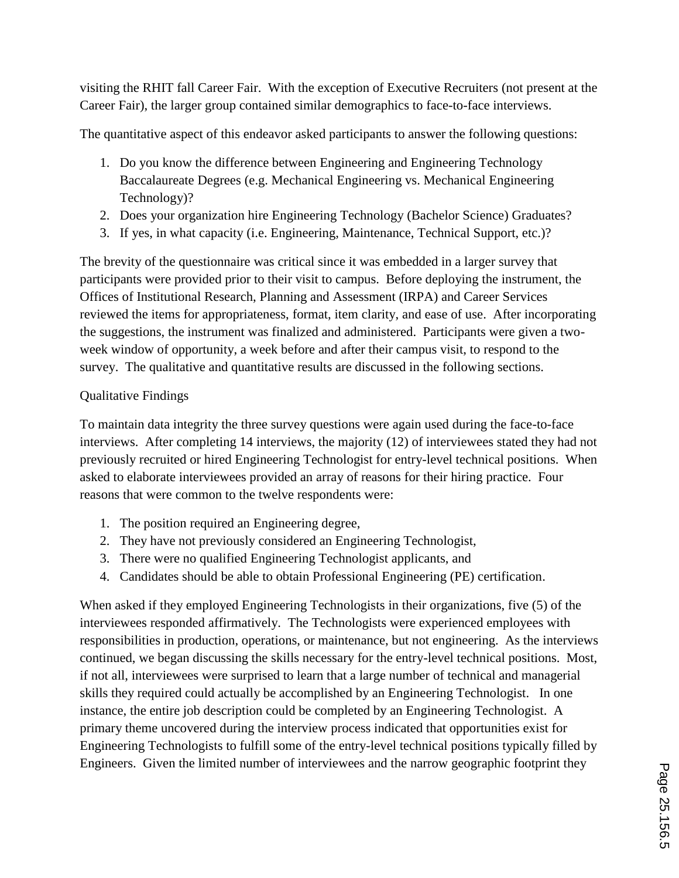visiting the RHIT fall Career Fair. With the exception of Executive Recruiters (not present at the Career Fair), the larger group contained similar demographics to face-to-face interviews.

The quantitative aspect of this endeavor asked participants to answer the following questions:

- 1. Do you know the difference between Engineering and Engineering Technology Baccalaureate Degrees (e.g. Mechanical Engineering vs. Mechanical Engineering Technology)?
- 2. Does your organization hire Engineering Technology (Bachelor Science) Graduates?
- 3. If yes, in what capacity (i.e. Engineering, Maintenance, Technical Support, etc.)?

The brevity of the questionnaire was critical since it was embedded in a larger survey that participants were provided prior to their visit to campus. Before deploying the instrument, the Offices of Institutional Research, Planning and Assessment (IRPA) and Career Services reviewed the items for appropriateness, format, item clarity, and ease of use. After incorporating the suggestions, the instrument was finalized and administered. Participants were given a twoweek window of opportunity, a week before and after their campus visit, to respond to the survey. The qualitative and quantitative results are discussed in the following sections.

## Qualitative Findings

To maintain data integrity the three survey questions were again used during the face-to-face interviews. After completing 14 interviews, the majority (12) of interviewees stated they had not previously recruited or hired Engineering Technologist for entry-level technical positions. When asked to elaborate interviewees provided an array of reasons for their hiring practice. Four reasons that were common to the twelve respondents were:

- 1. The position required an Engineering degree,
- 2. They have not previously considered an Engineering Technologist,
- 3. There were no qualified Engineering Technologist applicants, and
- 4. Candidates should be able to obtain Professional Engineering (PE) certification.

When asked if they employed Engineering Technologists in their organizations, five (5) of the interviewees responded affirmatively. The Technologists were experienced employees with responsibilities in production, operations, or maintenance, but not engineering. As the interviews continued, we began discussing the skills necessary for the entry-level technical positions. Most, if not all, interviewees were surprised to learn that a large number of technical and managerial skills they required could actually be accomplished by an Engineering Technologist. In one instance, the entire job description could be completed by an Engineering Technologist. A primary theme uncovered during the interview process indicated that opportunities exist for Engineering Technologists to fulfill some of the entry-level technical positions typically filled by Engineers. Given the limited number of interviewees and the narrow geographic footprint they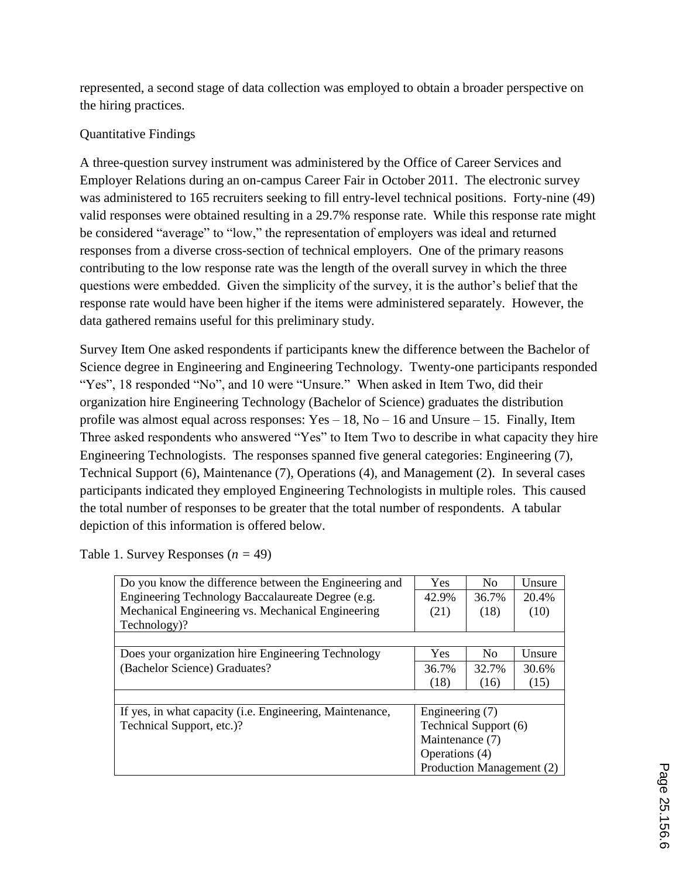represented, a second stage of data collection was employed to obtain a broader perspective on the hiring practices.

## Quantitative Findings

A three-question survey instrument was administered by the Office of Career Services and Employer Relations during an on-campus Career Fair in October 2011. The electronic survey was administered to 165 recruiters seeking to fill entry-level technical positions. Forty-nine (49) valid responses were obtained resulting in a 29.7% response rate. While this response rate might be considered "average" to "low," the representation of employers was ideal and returned responses from a diverse cross-section of technical employers. One of the primary reasons contributing to the low response rate was the length of the overall survey in which the three questions were embedded. Given the simplicity of the survey, it is the author's belief that the response rate would have been higher if the items were administered separately. However, the data gathered remains useful for this preliminary study.

Survey Item One asked respondents if participants knew the difference between the Bachelor of Science degree in Engineering and Engineering Technology. Twenty-one participants responded "Yes", 18 responded "No", and 10 were "Unsure." When asked in Item Two, did their organization hire Engineering Technology (Bachelor of Science) graduates the distribution profile was almost equal across responses:  $Yes - 18$ ,  $No - 16$  and Unsure – 15. Finally, Item Three asked respondents who answered "Yes" to Item Two to describe in what capacity they hire Engineering Technologists. The responses spanned five general categories: Engineering (7), Technical Support (6), Maintenance (7), Operations (4), and Management (2). In several cases participants indicated they employed Engineering Technologists in multiple roles. This caused the total number of responses to be greater that the total number of respondents. A tabular depiction of this information is offered below.

| Do you know the difference between the Engineering and   | <b>Yes</b>                                                                                                 | No.   | Unsure |
|----------------------------------------------------------|------------------------------------------------------------------------------------------------------------|-------|--------|
| Engineering Technology Baccalaureate Degree (e.g.        | 42.9%                                                                                                      | 36.7% | 20.4%  |
| Mechanical Engineering vs. Mechanical Engineering        | (21)                                                                                                       | (18)  | (10)   |
| Technology)?                                             |                                                                                                            |       |        |
|                                                          |                                                                                                            |       |        |
| Does your organization hire Engineering Technology       | <b>Yes</b>                                                                                                 | No.   | Unsure |
| (Bachelor Science) Graduates?                            | 36.7%                                                                                                      | 32.7% | 30.6%  |
|                                                          | (18)                                                                                                       | (16)  | (15)   |
|                                                          |                                                                                                            |       |        |
| If yes, in what capacity (i.e. Engineering, Maintenance, | Engineering (7)<br>Technical Support (6)<br>Maintenance (7)<br>Operations (4)<br>Production Management (2) |       |        |
| Technical Support, etc.)?                                |                                                                                                            |       |        |
|                                                          |                                                                                                            |       |        |
|                                                          |                                                                                                            |       |        |
|                                                          |                                                                                                            |       |        |

Table 1. Survey Responses  $(n = 49)$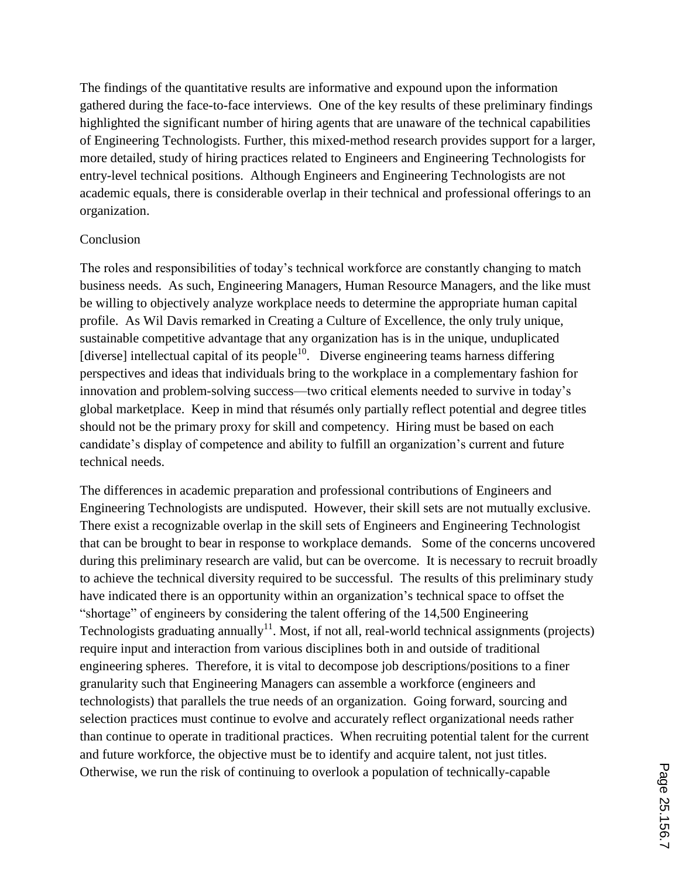The findings of the quantitative results are informative and expound upon the information gathered during the face-to-face interviews. One of the key results of these preliminary findings highlighted the significant number of hiring agents that are unaware of the technical capabilities of Engineering Technologists. Further, this mixed-method research provides support for a larger, more detailed, study of hiring practices related to Engineers and Engineering Technologists for entry-level technical positions. Although Engineers and Engineering Technologists are not academic equals, there is considerable overlap in their technical and professional offerings to an organization.

#### Conclusion

The roles and responsibilities of today's technical workforce are constantly changing to match business needs. As such, Engineering Managers, Human Resource Managers, and the like must be willing to objectively analyze workplace needs to determine the appropriate human capital profile. As Wil Davis remarked in Creating a Culture of Excellence, the only truly unique, sustainable competitive advantage that any organization has is in the unique, unduplicated [diverse] intellectual capital of its people<sup>10</sup>. Diverse engineering teams harness differing perspectives and ideas that individuals bring to the workplace in a complementary fashion for innovation and problem-solving success—two critical elements needed to survive in today's global marketplace. Keep in mind that résumés only partially reflect potential and degree titles should not be the primary proxy for skill and competency. Hiring must be based on each candidate's display of competence and ability to fulfill an organization's current and future technical needs.

The differences in academic preparation and professional contributions of Engineers and Engineering Technologists are undisputed. However, their skill sets are not mutually exclusive. There exist a recognizable overlap in the skill sets of Engineers and Engineering Technologist that can be brought to bear in response to workplace demands. Some of the concerns uncovered during this preliminary research are valid, but can be overcome. It is necessary to recruit broadly to achieve the technical diversity required to be successful. The results of this preliminary study have indicated there is an opportunity within an organization's technical space to offset the "shortage" of engineers by considering the talent offering of the 14,500 Engineering Technologists graduating annually<sup>11</sup>. Most, if not all, real-world technical assignments (projects) require input and interaction from various disciplines both in and outside of traditional engineering spheres. Therefore, it is vital to decompose job descriptions/positions to a finer granularity such that Engineering Managers can assemble a workforce (engineers and technologists) that parallels the true needs of an organization. Going forward, sourcing and selection practices must continue to evolve and accurately reflect organizational needs rather than continue to operate in traditional practices. When recruiting potential talent for the current and future workforce, the objective must be to identify and acquire talent, not just titles. Otherwise, we run the risk of continuing to overlook a population of technically-capable